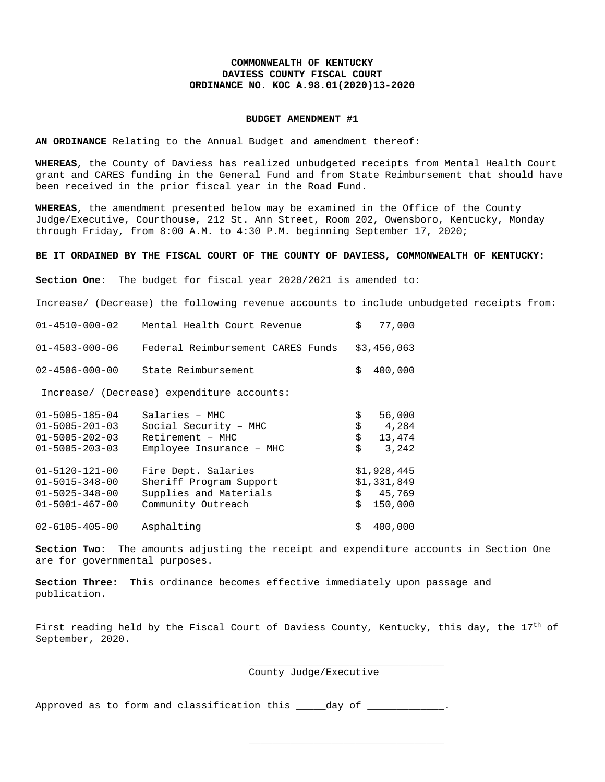## **COMMONWEALTH OF KENTUCKY DAVIESS COUNTY FISCAL COURT ORDINANCE NO. KOC A.98.01(2020)13-2020**

## **BUDGET AMENDMENT #1**

**AN ORDINANCE** Relating to the Annual Budget and amendment thereof:

**WHEREAS**, the County of Daviess has realized unbudgeted receipts from Mental Health Court grant and CARES funding in the General Fund and from State Reimbursement that should have been received in the prior fiscal year in the Road Fund.

**WHEREAS**, the amendment presented below may be examined in the Office of the County Judge/Executive, Courthouse, 212 St. Ann Street, Room 202, Owensboro, Kentucky, Monday through Friday, from 8:00 A.M. to 4:30 P.M. beginning September 17, 2020;

## **BE IT ORDAINED BY THE FISCAL COURT OF THE COUNTY OF DAVIESS, COMMONWEALTH OF KENTUCKY:**

**Section One:** The budget for fiscal year 2020/2021 is amended to:

Increase/ (Decrease) the following revenue accounts to include unbudgeted receipts from:

| Mental Health Court Revenue                | \$                                                | 77,000      |
|--------------------------------------------|---------------------------------------------------|-------------|
| Federal Reimbursement CARES Funds          |                                                   | \$3,456,063 |
| State Reimbursement                        | Ŝ.                                                | 400,000     |
| Increase/ (Decrease) expenditure accounts: |                                                   |             |
| Salaries - MHC                             | \$                                                | 56,000      |
| Social Security - MHC                      | \$                                                | 4,284       |
| Retirement - MHC                           | \$                                                | 13,474      |
| $Emplove$ Insurance - MHC                  | \$                                                | 3,242       |
| Fire Dept. Salaries                        |                                                   | \$1,928,445 |
|                                            |                                                   | \$1,331,849 |
|                                            |                                                   | \$45,769    |
| Community Outreach                         |                                                   | 150,000     |
|                                            | Sheriff Program Support<br>Supplies and Materials | \$          |

02-6105-405-00 Asphalting **\$ 400,000** 

**Section Two:** The amounts adjusting the receipt and expenditure accounts in Section One are for governmental purposes.

**Section Three:** This ordinance becomes effective immediately upon passage and publication.

First reading held by the Fiscal Court of Daviess County, Kentucky, this day, the  $17<sup>th</sup>$  of September, 2020.

> \_\_\_\_\_\_\_\_\_\_\_\_\_\_\_\_\_\_\_\_\_\_\_\_\_\_\_\_\_\_\_\_\_ County Judge/Executive

\_\_\_\_\_\_\_\_\_\_\_\_\_\_\_\_\_\_\_\_\_\_\_\_\_\_\_\_\_\_\_\_\_

Approved as to form and classification this \_\_\_\_\_day of \_\_\_\_\_\_\_\_\_\_\_\_.